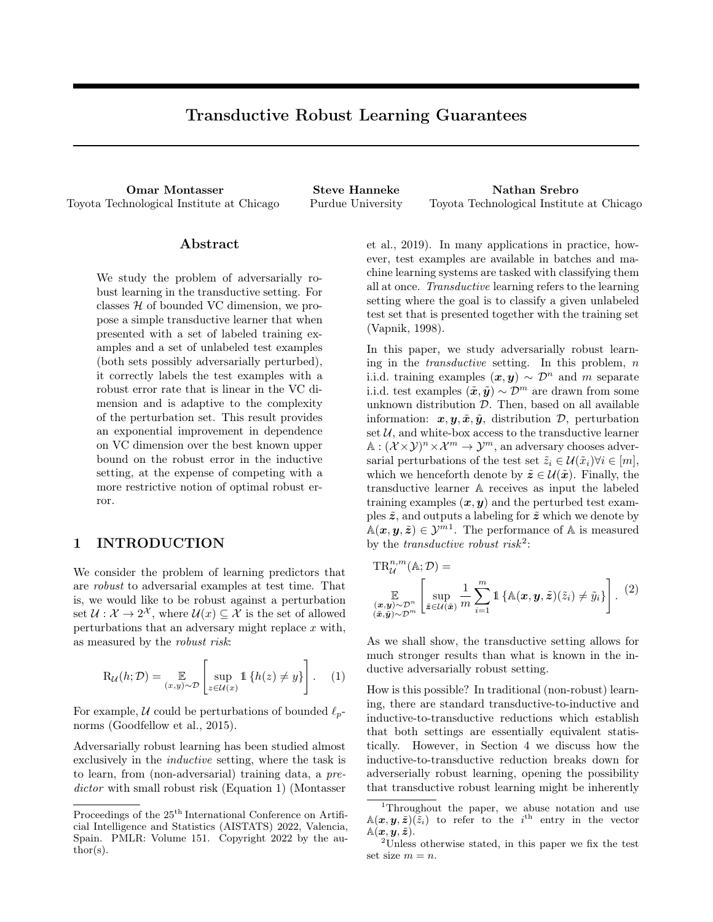# Transductive Robust Learning Guarantees

Omar Montasser Steve Hanneke Nathan Srebro Toyota Technological Institute at Chicago Purdue University Toyota Technological Institute at Chicago

### Abstract

We study the problem of adversarially robust learning in the transductive setting. For classes  $H$  of bounded VC dimension, we propose a simple transductive learner that when presented with a set of labeled training examples and a set of unlabeled test examples (both sets possibly adversarially perturbed), it correctly labels the test examples with a robust error rate that is linear in the VC dimension and is adaptive to the complexity of the perturbation set. This result provides an exponential improvement in dependence on VC dimension over the best known upper bound on the robust error in the inductive setting, at the expense of competing with a more restrictive notion of optimal robust error.

# 1 INTRODUCTION

We consider the problem of learning predictors that are robust to adversarial examples at test time. That is, we would like to be robust against a perturbation set  $\mathcal{U}: \mathcal{X} \to 2^{\mathcal{X}}$ , where  $\mathcal{U}(x) \subseteq \mathcal{X}$  is the set of allowed perturbations that an adversary might replace  $x$  with, as measured by the robust risk:

$$
\mathrm{R}_{\mathcal{U}}(h; \mathcal{D}) = \mathop{\mathbb{E}}_{(x,y)\sim\mathcal{D}} \left[ \sup_{z \in \mathcal{U}(x)} \mathbb{1} \left\{ h(z) \neq y \right\} \right]. \quad (1)
$$

For example, U could be perturbations of bounded  $\ell_p$ norms (Goodfellow et al., 2015).

Adversarially robust learning has been studied almost exclusively in the inductive setting, where the task is to learn, from (non-adversarial) training data, a predictor with small robust risk (Equation 1) (Montasser et al., 2019). In many applications in practice, however, test examples are available in batches and machine learning systems are tasked with classifying them all at once. Transductive learning refers to the learning setting where the goal is to classify a given unlabeled test set that is presented together with the training set (Vapnik, 1998).

In this paper, we study adversarially robust learning in the  $transductive$  setting. In this problem,  $n$ i.i.d. training examples  $(x, y) \sim \mathcal{D}^n$  and m separate i.i.d. test examples  $(\tilde{x}, \tilde{y}) \sim \mathcal{D}^m$  are drawn from some unknown distribution  $D$ . Then, based on all available information:  $x, y, \tilde{x}, \tilde{y}$ , distribution  $\mathcal{D}$ , perturbation set  $U$ , and white-box access to the transductive learner  $\mathbb{A}: (\mathcal{X} \times \mathcal{Y})^n \times \mathcal{X}^m \to \mathcal{Y}^m$ , an adversary chooses adversarial perturbations of the test set  $\tilde{z}_i \in \mathcal{U}(\tilde{x}_i) \forall i \in [m],$ which we henceforth denote by  $\tilde{z} \in \mathcal{U}(\tilde{x})$ . Finally, the transductive learner A receives as input the labeled training examples  $(x, y)$  and the perturbed test examples  $\tilde{z}$ , and outputs a labeling for  $\tilde{z}$  which we denote by  $\mathbb{A}(\boldsymbol{x},\boldsymbol{y},\tilde{\boldsymbol{z}})\in\mathcal{Y}^{m1}$ . The performance of A is measured by the *transductive robust risk*<sup>2</sup>:

$$
TR_{\mathcal{U}}^{n,m}(\mathbb{A}; \mathcal{D}) =
$$
  
\n
$$
\mathbb{E}_{(\mathbf{x}, \mathbf{y}) \sim \mathcal{D}^n} \left[ \sup_{\tilde{\mathbf{z}} \in \mathcal{U}(\tilde{\mathbf{x}})} \frac{1}{m} \sum_{i=1}^m \mathbb{1} \left\{ \mathbb{A}(\mathbf{x}, \mathbf{y}, \tilde{\mathbf{z}})(\tilde{z}_i) \neq \tilde{y}_i \right\} \right].
$$
\n(2)

As we shall show, the transductive setting allows for much stronger results than what is known in the inductive adversarially robust setting.

How is this possible? In traditional (non-robust) learning, there are standard transductive-to-inductive and inductive-to-transductive reductions which establish that both settings are essentially equivalent statistically. However, in Section 4 we discuss how the inductive-to-transductive reduction breaks down for adverserially robust learning, opening the possibility that transductive robust learning might be inherently

Proceedings of the  $25<sup>th</sup>$  International Conference on Artificial Intelligence and Statistics (AISTATS) 2022, Valencia, Spain. PMLR: Volume 151. Copyright 2022 by the author(s).

<sup>&</sup>lt;sup>1</sup>Throughout the paper, we abuse notation and use  $\mathbb{A}(\boldsymbol{x},\boldsymbol{y},\tilde{\boldsymbol{z}})(\tilde{z}_i)$  to refer to the i<sup>th</sup> entry in the vector  $\mathbb{A}(\boldsymbol{x},\boldsymbol{y},\tilde{\boldsymbol{z}}).$ 

<sup>2</sup>Unless otherwise stated, in this paper we fix the test set size  $m = n$ .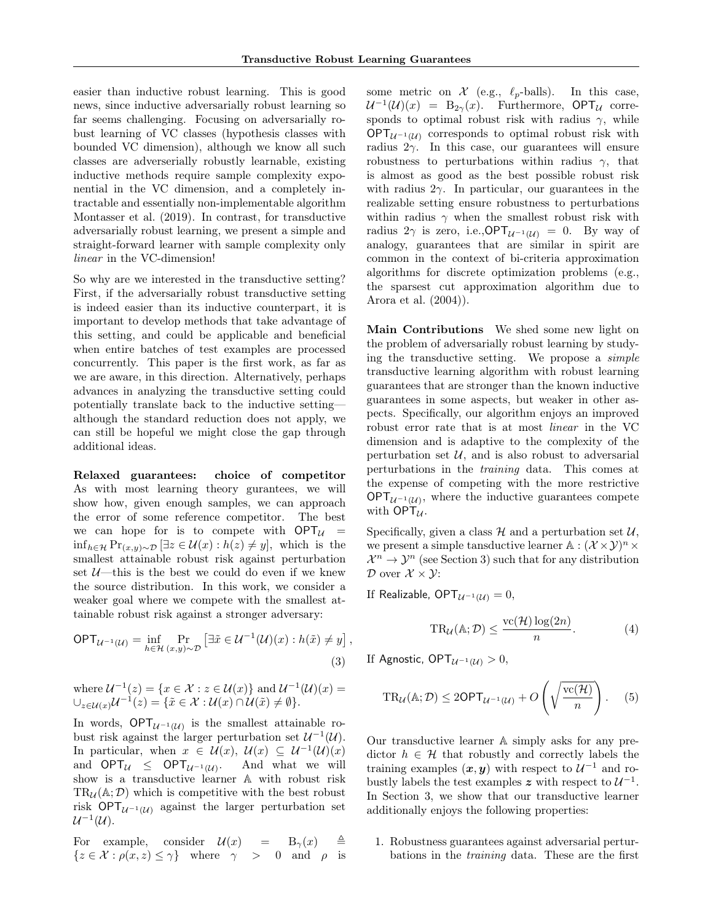easier than inductive robust learning. This is good news, since inductive adversarially robust learning so far seems challenging. Focusing on adversarially robust learning of VC classes (hypothesis classes with bounded VC dimension), although we know all such classes are adverserially robustly learnable, existing inductive methods require sample complexity exponential in the VC dimension, and a completely intractable and essentially non-implementable algorithm Montasser et al. (2019). In contrast, for transductive adversarially robust learning, we present a simple and straight-forward learner with sample complexity only linear in the VC-dimension!

So why are we interested in the transductive setting? First, if the adversarially robust transductive setting is indeed easier than its inductive counterpart, it is important to develop methods that take advantage of this setting, and could be applicable and beneficial when entire batches of test examples are processed concurrently. This paper is the first work, as far as we are aware, in this direction. Alternatively, perhaps advances in analyzing the transductive setting could potentially translate back to the inductive setting although the standard reduction does not apply, we can still be hopeful we might close the gap through additional ideas.

Relaxed guarantees: choice of competitor As with most learning theory gurantees, we will show how, given enough samples, we can approach the error of some reference competitor. The best we can hope for is to compete with  $OPT_{\mathcal{U}} =$ inf<sub>h∈H</sub> Pr<sub>(x,y)</sub>∼ $\mathcal{D}$  [∃z ∈  $\mathcal{U}(x)$  :  $h(z) \neq y$ ], which is the smallest attainable robust risk against perturbation set  $U$ —this is the best we could do even if we knew the source distribution. In this work, we consider a weaker goal where we compete with the smallest attainable robust risk against a stronger adversary:

$$
\mathsf{OPT}_{\mathcal{U}^{-1}(\mathcal{U})} = \inf_{h \in \mathcal{H}} \Pr_{(x,y) \sim \mathcal{D}} \left[ \exists \tilde{x} \in \mathcal{U}^{-1}(\mathcal{U})(x) : h(\tilde{x}) \neq y \right],\tag{3}
$$

where  $\mathcal{U}^{-1}(z) = \{x \in \mathcal{X} : z \in \mathcal{U}(x)\}\$ and  $\mathcal{U}^{-1}(\mathcal{U})(x) =$  $\cup_{z \in \mathcal{U}(x)} \mathcal{U}^{-1}(z) = \{ \tilde{x} \in \mathcal{X} : \mathcal{U}(x) \cap \mathcal{U}(\tilde{x}) \neq \emptyset \}.$ 

In words,  $OPT_{\mathcal{U}^{-1}(\mathcal{U})}$  is the smallest attainable robust risk against the larger perturbation set  $\mathcal{U}^{-1}(\mathcal{U})$ . In particular, when  $x \in \mathcal{U}(x), \mathcal{U}(x) \subseteq \mathcal{U}^{-1}(\mathcal{U})(x)$ and  $OPT_{\mathcal{U}} \leq OPT_{\mathcal{U}^{-1}(\mathcal{U})}$ . And what we will show is a transductive learner A with robust risk  $TR_{\mathcal{U}}(\mathbb{A}; \mathcal{D})$  which is competitive with the best robust risk OPT $_{\mathcal{U}^{-1}(\mathcal{U})}$  against the larger perturbation set  $\mathcal{U}^{-1}(\mathcal{U}).$ 

For example, consider  $\mathcal{U}(x) = B_{\gamma}(x) \oplus$  $\{z \in \mathcal{X} : \rho(x, z) \leq \gamma\}$  where  $\gamma > 0$  and  $\rho$  is some metric on  $\mathcal X$  (e.g.,  $\ell_p$ -balls). In this case,  $\mathcal{U}^{-1}(\mathcal{U})(x) = B_{2\gamma}(x)$ . Furthermore, OPT<sub>U</sub> corresponds to optimal robust risk with radius  $\gamma$ , while  $OPT_{\mathcal{U}^{-1}(\mathcal{U})}$  corresponds to optimal robust risk with radius  $2\gamma$ . In this case, our guarantees will ensure robustness to perturbations within radius  $\gamma$ , that is almost as good as the best possible robust risk with radius  $2\gamma$ . In particular, our guarantees in the realizable setting ensure robustness to perturbations within radius  $\gamma$  when the smallest robust risk with radius  $2\gamma$  is zero, i.e., OPT $_{\mathcal{U}^{-1}(\mathcal{U})} = 0$ . By way of analogy, guarantees that are similar in spirit are common in the context of bi-criteria approximation algorithms for discrete optimization problems (e.g., the sparsest cut approximation algorithm due to Arora et al. (2004)).

Main Contributions We shed some new light on the problem of adversarially robust learning by studying the transductive setting. We propose a simple transductive learning algorithm with robust learning guarantees that are stronger than the known inductive guarantees in some aspects, but weaker in other aspects. Specifically, our algorithm enjoys an improved robust error rate that is at most linear in the VC dimension and is adaptive to the complexity of the perturbation set  $U$ , and is also robust to adversarial perturbations in the training data. This comes at the expense of competing with the more restrictive  $OPT_{\mathcal{U}^{-1}(\mathcal{U})}$ , where the inductive guarantees compete with  $OPT_{\mathcal{U}}$ .

Specifically, given a class  $\mathcal{H}$  and a perturbation set  $\mathcal{U}$ , we present a simple tansductive learner  $\mathbb{A}: (\mathcal{X} \times \mathcal{Y})^n \times$  $\mathcal{X}^n \to \mathcal{Y}^n$  (see Section 3) such that for any distribution  $\mathcal D$  over  $\mathcal X \times \mathcal Y$ :

If Realizable, OPT $_{\mathcal{U}^{-1}(\mathcal{U})}=0$ ,

$$
TR_{\mathcal{U}}(\mathbb{A}; \mathcal{D}) \le \frac{\text{vc}(\mathcal{H}) \log(2n)}{n}.
$$
 (4)

If Agnostic, OPT $_{\mathcal{U}^{-1}(\mathcal{U})} > 0$ ,

$$
TR_{\mathcal{U}}(\mathbb{A}; \mathcal{D}) \le 2\mathsf{OPT}_{\mathcal{U}^{-1}(\mathcal{U})} + O\left(\sqrt{\frac{\mathrm{vc}(\mathcal{H})}{n}}\right). \quad (5)
$$

Our transductive learner A simply asks for any predictor  $h \in \mathcal{H}$  that robustly and correctly labels the training examples  $(x, y)$  with respect to  $\mathcal{U}^{-1}$  and robustly labels the test examples z with respect to  $\mathcal{U}^{-1}$ . In Section 3, we show that our transductive learner additionally enjoys the following properties:

1. Robustness guarantees against adversarial perturbations in the training data. These are the first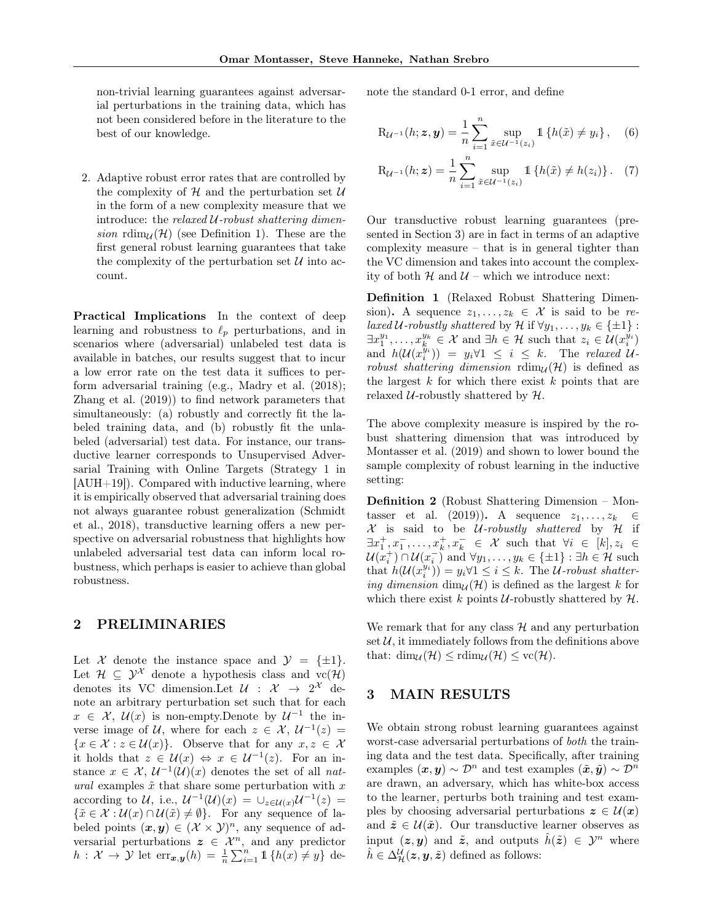non-trivial learning guarantees against adversarial perturbations in the training data, which has not been considered before in the literature to the best of our knowledge.

2. Adaptive robust error rates that are controlled by the complexity of  $H$  and the perturbation set  $U$ in the form of a new complexity measure that we introduce: the relaxed  $U$ -robust shattering dimension rdim<sub> $U(\mathcal{H})$ </sub> (see Definition 1). These are the first general robust learning guarantees that take the complexity of the perturbation set  $\mathcal U$  into account.

Practical Implications In the context of deep learning and robustness to  $\ell_p$  perturbations, and in scenarios where (adversarial) unlabeled test data is available in batches, our results suggest that to incur a low error rate on the test data it suffices to perform adversarial training (e.g., Madry et al. (2018); Zhang et al. (2019)) to find network parameters that simultaneously: (a) robustly and correctly fit the labeled training data, and (b) robustly fit the unlabeled (adversarial) test data. For instance, our transductive learner corresponds to Unsupervised Adversarial Training with Online Targets (Strategy 1 in [AUH+19]). Compared with inductive learning, where it is empirically observed that adversarial training does not always guarantee robust generalization (Schmidt et al., 2018), transductive learning offers a new perspective on adversarial robustness that highlights how unlabeled adversarial test data can inform local robustness, which perhaps is easier to achieve than global robustness.

### 2 PRELIMINARIES

Let X denote the instance space and  $\mathcal{Y} = {\pm 1}.$ Let  $\mathcal{H} \subset \mathcal{Y}^{\mathcal{X}}$  denote a hypothesis class and  $\text{vc}(\mathcal{H})$ denotes its VC dimension. Let  $\mathcal{U}$  :  $\mathcal{X} \rightarrow 2^{\mathcal{X}}$  denote an arbitrary perturbation set such that for each  $x \in \mathcal{X}, \mathcal{U}(x)$  is non-empty. Denote by  $\mathcal{U}^{-1}$  the inverse image of U, where for each  $z \in \mathcal{X}, \mathcal{U}^{-1}(z) =$  ${x \in \mathcal{X} : z \in \mathcal{U}(x)}$ . Observe that for any  $x, z \in \mathcal{X}$ it holds that  $z \in \mathcal{U}(x) \Leftrightarrow x \in \mathcal{U}^{-1}(z)$ . For an instance  $x \in \mathcal{X}, \mathcal{U}^{-1}(\mathcal{U})(x)$  denotes the set of all natural examples  $\tilde{x}$  that share some perturbation with x according to U, i.e.,  $\mathcal{U}^{-1}(\mathcal{U})(x) = \cup_{z \in \mathcal{U}(x)} \mathcal{U}^{-1}(z) =$  $\{\tilde{x} \in \mathcal{X} : \mathcal{U}(x) \cap \mathcal{U}(\tilde{x}) \neq \emptyset\}.$  For any sequence of labeled points  $(x, y) \in (\mathcal{X} \times \mathcal{Y})^n$ , any sequence of adversarial perturbations  $z \in \mathcal{X}^n$ , and any predictor  $h: \mathcal{X} \to \mathcal{Y}$  let  $\text{err}_{\bm{x},\bm{y}}(h) = \frac{1}{n} \sum_{i=1}^{n} \mathbb{1} \{h(x) \neq y\}$  denote the standard 0-1 error, and define

$$
R_{\mathcal{U}^{-1}}(h; \mathbf{z}, \mathbf{y}) = \frac{1}{n} \sum_{i=1}^{n} \sup_{\tilde{x} \in \mathcal{U}^{-1}(z_i)} \mathbb{1} \left\{ h(\tilde{x}) \neq y_i \right\}, \quad (6)
$$

$$
R_{\mathcal{U}^{-1}}(h; \mathbf{z}) = \frac{1}{n} \sum_{i=1}^{n} \sup_{\tilde{x} \in \mathcal{U}^{-1}(z_i)} \mathbb{1} \left\{ h(\tilde{x}) \neq h(z_i) \right\}. \tag{7}
$$

Our transductive robust learning guarantees (presented in Section 3) are in fact in terms of an adaptive complexity measure – that is in general tighter than the VC dimension and takes into account the complexity of both  $H$  and  $U$  – which we introduce next:

Definition 1 (Relaxed Robust Shattering Dimension). A sequence  $z_1, \ldots, z_k \in \mathcal{X}$  is said to be relaxed U-robustly shattered by H if  $\forall y_1, \ldots, y_k \in \{\pm 1\}$ :  $\exists x_1^{y_1}, \ldots, x_k^{y_k} \in \mathcal{X}$  and  $\exists h \in \mathcal{H}$  such that  $z_i \in \mathcal{U}(x_i^{y_i})$ and  $h(\mathcal{U}(x_i^{y_i})) = y_i \forall 1 \leq i \leq k$ . The relaxed  $\mathcal{U}$ robust shattering dimension  $\text{rdim}_{\mathcal{U}}(\mathcal{H})$  is defined as the largest  $k$  for which there exist  $k$  points that are relaxed  $U$ -robustly shattered by  $H$ .

The above complexity measure is inspired by the robust shattering dimension that was introduced by Montasser et al. (2019) and shown to lower bound the sample complexity of robust learning in the inductive setting:

Definition 2 (Robust Shattering Dimension – Montasser et al. (2019)). A sequence  $z_1, \ldots, z_k$  $X$  is said to be *U*-robustly shattered by  $H$  if  $\exists x_1^+, x_1^-, \ldots, x_k^+, x_k^- \in \mathcal{X}$  such that  $\forall i \in [k], z_i \in$  $\mathcal{U}(x_i^+) \cap \mathcal{U}(x_i^-)$  and  $\forall y_1, \ldots, y_k \in \{\pm 1\} : \exists h \in \mathcal{H}$  such that  $h(\mathcal{U}(x_i^{y_i})) = y_i \forall 1 \leq i \leq k$ . The  $\mathcal{U}\text{-robust shatter}$ ing dimension  $\dim_{\mathcal{U}}(\mathcal{H})$  is defined as the largest k for which there exist k points U-robustly shattered by  $H$ .

We remark that for any class  $H$  and any perturbation set  $\mathcal{U}$ , it immediately follows from the definitions above that:  $\dim_{\mathcal{U}}(\mathcal{H}) \leq \text{rdim}_{\mathcal{U}}(\mathcal{H}) \leq \text{vc}(\mathcal{H}).$ 

### 3 MAIN RESULTS

We obtain strong robust learning guarantees against worst-case adversarial perturbations of both the training data and the test data. Specifically, after training examples  $(\boldsymbol{x}, \boldsymbol{y}) \sim \mathcal{D}^n$  and test examples  $(\tilde{\boldsymbol{x}}, \tilde{\boldsymbol{y}}) \sim \mathcal{D}^n$ are drawn, an adversary, which has white-box access to the learner, perturbs both training and test examples by choosing adversarial perturbations  $z \in \mathcal{U}(x)$ and  $\tilde{z} \in \mathcal{U}(\tilde{x})$ . Our transductive learner observes as input  $(z, y)$  and  $\tilde{z}$ , and outputs  $\tilde{h}(\tilde{z}) \in \mathcal{Y}^n$  where  $\hat{h} \in \Delta^{\mathcal{U}}_{\mathcal{H}}(\boldsymbol{z},\boldsymbol{y},\tilde{\boldsymbol{z}})$  defined as follows: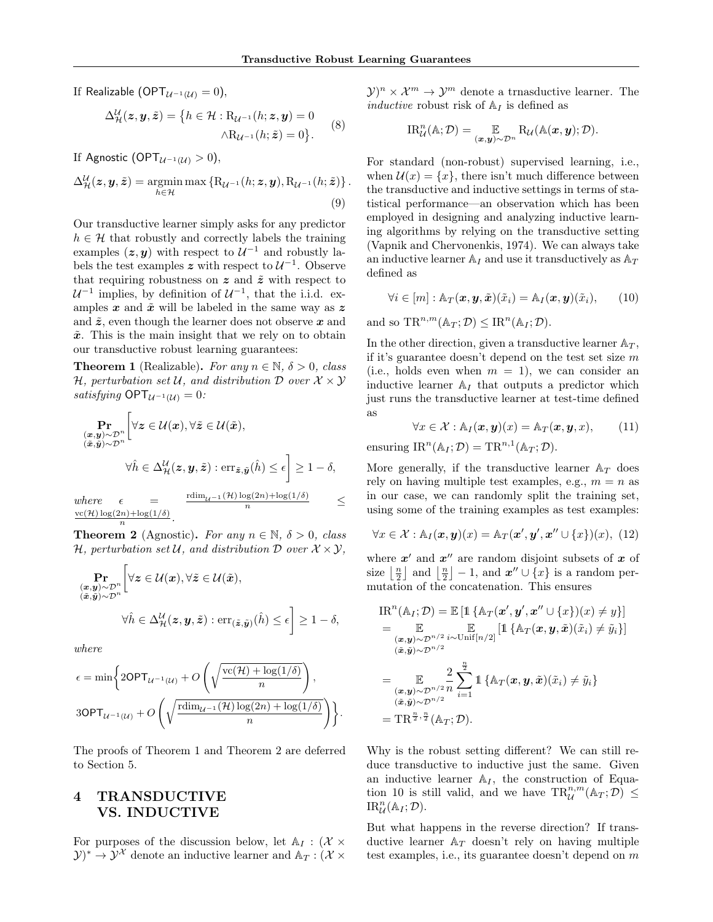If Realizable (OPT $_{\mathcal{U}^{-1}(\mathcal{U})}=0$ ),

$$
\Delta_{\mathcal{H}}^{\mathcal{U}}(z, y, \tilde{z}) = \{ h \in \mathcal{H} : \mathcal{R}_{\mathcal{U}^{-1}}(h; z, y) = 0
$$

$$
\wedge \mathcal{R}_{\mathcal{U}^{-1}}(h; \tilde{z}) = 0 \}.
$$
 (8)

If Agnostic (OPT $_{\mathcal{U}^{-1}(\mathcal{U})} > 0$ ),

$$
\Delta_{\mathcal{H}}^{\mathcal{U}}(z, y, \tilde{z}) = \operatorname*{argmin}_{h \in \mathcal{H}} \max \left\{ \mathrm{R}_{\mathcal{U}^{-1}}(h; z, y), \mathrm{R}_{\mathcal{U}^{-1}}(h; \tilde{z}) \right\}.
$$
\n(9)

Our transductive learner simply asks for any predictor  $h \in \mathcal{H}$  that robustly and correctly labels the training examples  $(z, y)$  with respect to  $\mathcal{U}^{-1}$  and robustly labels the test examples z with respect to  $\mathcal{U}^{-1}$ . Observe that requiring robustness on  $z$  and  $\tilde{z}$  with respect to  $\mathcal{U}^{-1}$  implies, by definition of  $\mathcal{U}^{-1}$ , that the i.i.d. examples  $x$  and  $\tilde{x}$  will be labeled in the same way as  $z$ and  $\tilde{z}$ , even though the learner does not observe x and  $\tilde{x}$ . This is the main insight that we rely on to obtain our transductive robust learning guarantees:

**Theorem 1** (Realizable). For any  $n \in \mathbb{N}$ ,  $\delta > 0$ , class H, perturbation set U, and distribution  $\mathcal D$  over  $\mathcal X \times \mathcal Y$ *satisfying*  $OPT_{\mathcal{U}^{-1}(\mathcal{U})} = 0$ :

$$
\Pr_{\substack{(\mathbf{x}, \mathbf{y}) \sim \mathcal{D}^n \\ (\tilde{\mathbf{x}}, \tilde{\mathbf{y}}) \sim \mathcal{D}^n}} \left[ \forall \mathbf{z} \in \mathcal{U}(\mathbf{x}), \forall \tilde{\mathbf{z}} \in \mathcal{U}(\tilde{\mathbf{x}}), \right. \\
\forall \hat{h} \in \Delta_{\mathcal{H}}^{\mathcal{U}}(\mathbf{z}, \mathbf{y}, \tilde{\mathbf{z}}) : \text{err}_{\tilde{\mathbf{z}}, \tilde{\mathbf{y}}}(\hat{h}) \le \epsilon \right] \ge 1 - \delta,
$$
\n
$$
\text{where} \quad \epsilon = \frac{\text{rdim}_{\mathcal{U}^{-1}}(\mathcal{H}) \log(2n) + \log(1/\delta)}{\epsilon}
$$

 $where$  $\frac{\log(2n) + \log(1/\sigma)}{n} \leq$  $vc(\mathcal{H})\log(2n)+\log(1/\delta)$ n .

**Theorem 2** (Agnostic). For any  $n \in \mathbb{N}$ ,  $\delta > 0$ , class H, perturbation set U, and distribution  $D$  over  $X \times Y$ ,

$$
\Pr_{\substack{(\bar{x}, \bar{y}) \sim \mathcal{D}^n \\ (\bar{x}, \bar{y}) \sim \mathcal{D}^n}} \left[ \forall z \in \mathcal{U}(\bar{x}), \forall \tilde{z} \in \mathcal{U}(\tilde{x}), \right. \\
\forall \hat{h} \in \Delta_{\mathcal{H}}^{\mathcal{U}}(z, y, \tilde{z}) : \text{err}_{(\tilde{z}, \tilde{y})}(\hat{h}) \le \epsilon \right] \ge 1 - \delta,
$$

where

$$
\epsilon = \min \left\{ 2\textsf{OPT}_{\mathcal{U}^{-1}(\mathcal{U})} + O\left( \sqrt{\frac{\textsf{vc}(\mathcal{H}) + \log(1/\delta)}{n}} \right), \right\}
$$
  

$$
3\textsf{OPT}_{\mathcal{U}^{-1}(\mathcal{U})} + O\left( \sqrt{\frac{\textsf{rdim}_{\mathcal{U}^{-1}}(\mathcal{H})\log(2n) + \log(1/\delta)}{n}} \right) \right\}.
$$

The proofs of Theorem 1 and Theorem 2 are deferred to Section 5.

# 4 TRANSDUCTIVE VS. INDUCTIVE

For purposes of the discussion below, let  $A_I : (\mathcal{X} \times$  $(\mathcal{Y})^* \to \mathcal{Y}^{\mathcal{X}}$  denote an inductive learner and  $\mathbb{A}_T : (\mathcal{X} \times \mathcal{Y})^*$ 

 $(\mathcal{Y})^n \times \mathcal{X}^m \to \mathcal{Y}^m$  denote a trnasductive learner. The inductive robust risk of  $A_I$  is defined as

$$
\text{IR}_{\mathcal{U}}^n(\mathbb{A}; \mathcal{D}) = \underset{(\boldsymbol{x}, \boldsymbol{y}) \sim \mathcal{D}^n}{\mathbb{E}} \text{R}_{\mathcal{U}}(\mathbb{A}(\boldsymbol{x}, \boldsymbol{y}); \mathcal{D}).
$$

For standard (non-robust) supervised learning, i.e., when  $\mathcal{U}(x) = \{x\}$ , there isn't much difference between the transductive and inductive settings in terms of statistical performance—an observation which has been employed in designing and analyzing inductive learning algorithms by relying on the transductive setting (Vapnik and Chervonenkis, 1974). We can always take an inductive learner  $A_I$  and use it transductively as  $A_T$ defined as

$$
\forall i \in [m] : \mathbb{A}_T(\boldsymbol{x}, \boldsymbol{y}, \tilde{\boldsymbol{x}})(\tilde{x}_i) = \mathbb{A}_I(\boldsymbol{x}, \boldsymbol{y})(\tilde{x}_i), \qquad (10)
$$

and so  $\text{TR}^{n,m}(\mathbb{A}_T;\mathcal{D}) \leq \text{IR}^n(\mathbb{A}_I;\mathcal{D}).$ 

In the other direction, given a transductive learner  $A_T$ , if it's guarantee doesn't depend on the test set size  $m$ (i.e., holds even when  $m = 1$ ), we can consider an inductive learner  $A_I$  that outputs a predictor which just runs the transductive learner at test-time defined as

$$
\forall x \in \mathcal{X} : \mathbb{A}_I(\boldsymbol{x}, \boldsymbol{y})(x) = \mathbb{A}_T(\boldsymbol{x}, \boldsymbol{y}, x), \qquad (11)
$$

ensuring  $\text{IR}^n(\mathbb{A}_I; \mathcal{D}) = \text{TR}^{n,1}(\mathbb{A}_T; \mathcal{D}).$ 

More generally, if the transductive learner  $A_T$  does rely on having multiple test examples, e.g.,  $m = n$  as in our case, we can randomly split the training set, using some of the training examples as test examples:

$$
\forall x \in \mathcal{X} : \mathbb{A}_I(\boldsymbol{x}, \boldsymbol{y})(x) = \mathbb{A}_T(\boldsymbol{x}', \boldsymbol{y}', \boldsymbol{x}'' \cup \{x\})(x), \ (12)
$$

where  $x'$  and  $x''$  are random disjoint subsets of x of size  $\lfloor \frac{n}{2} \rfloor$  and  $\lfloor \frac{n}{2} \rfloor - 1$ , and  $\mathbf{x}'' \cup \{x\}$  is a random permutation of the concatenation. This ensures

$$
IR^{n}(\mathbb{A}_{I}; \mathcal{D}) = \mathbb{E} [\mathbb{1} \{ \mathbb{A}_{T}(\boldsymbol{x}', \boldsymbol{y}', \boldsymbol{x}'' \cup \{x\})(x) \neq y \}]
$$
  
\n
$$
= \mathbb{E} \mathbb{E} [\mathbb{1} \{ \mathbb{A}_{T}(\boldsymbol{x}, \boldsymbol{y}, \tilde{\boldsymbol{x}})(\tilde{x}_{i}) \neq \tilde{y}_{i} \}]
$$
  
\n
$$
= \mathbb{E} \mathbb{E} \frac{2}{(\tilde{\boldsymbol{x}}, \tilde{\boldsymbol{y}}) \sim \mathcal{D}^{n/2}} \sum_{i=1}^{\frac{n}{2}} \mathbb{1} \{ \mathbb{A}_{T}(\boldsymbol{x}, \boldsymbol{y}, \tilde{\boldsymbol{x}})(\tilde{x}_{i}) \neq \tilde{y}_{i} \}
$$
  
\n
$$
= \mathbb{E} \sum_{(\tilde{\boldsymbol{x}}, \tilde{\boldsymbol{y}}) \sim \mathcal{D}^{n/2}} \sum_{i=1}^{\frac{n}{2}} \mathbb{1} \{ \mathbb{A}_{T}(\boldsymbol{x}, \boldsymbol{y}, \tilde{\boldsymbol{x}})(\tilde{x}_{i}) \neq \tilde{y}_{i} \}
$$
  
\n
$$
= \text{TR}^{\frac{n}{2}, \frac{n}{2}}(\mathbb{A}_{T}; \mathcal{D}).
$$

Why is the robust setting different? We can still reduce transductive to inductive just the same. Given an inductive learner  $A_I$ , the construction of Equation 10 is still valid, and we have  $\text{TR}^{n,m}_{\mathcal{U}}(\mathbb{A}_T;\mathcal{D}) \leq$  $\text{IR}_{\mathcal{U}}^n(\mathbb{A}_I;\mathcal{D}).$ 

But what happens in the reverse direction? If transductive learner  $A_T$  doesn't rely on having multiple test examples, i.e., its guarantee doesn't depend on m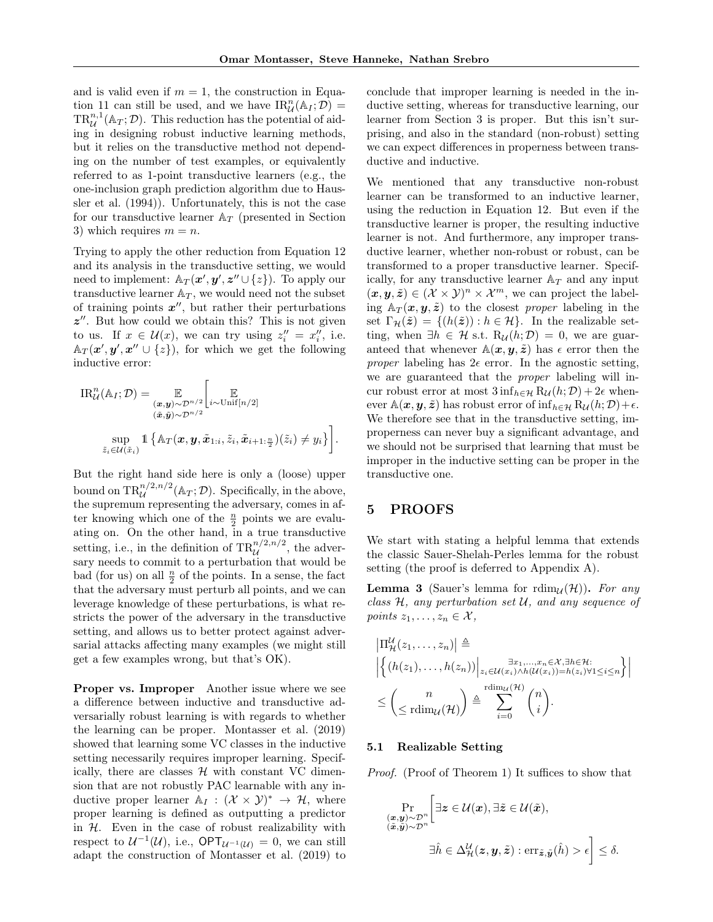and is valid even if  $m = 1$ , the construction in Equation 11 can still be used, and we have  $\text{IR}_{\mathcal{U}}^n(\mathbb{A}_I;\mathcal{D})=$  $TR_{\mathcal{U}}^{n,1}(\mathbb{A}_T;\mathcal{D}).$  This reduction has the potential of aiding in designing robust inductive learning methods, but it relies on the transductive method not depending on the number of test examples, or equivalently referred to as 1-point transductive learners (e.g., the one-inclusion graph prediction algorithm due to Haussler et al. (1994)). Unfortunately, this is not the case for our transductive learner  $A_T$  (presented in Section 3) which requires  $m = n$ .

Trying to apply the other reduction from Equation 12 and its analysis in the transductive setting, we would need to implement:  $\mathbb{A}_T(\mathbf{x}', \mathbf{y}', \mathbf{z}'' \cup \{z\})$ . To apply our transductive learner  $A_T$ , we would need not the subset of training points  $x''$ , but rather their perturbations  $z''$ . But how could we obtain this? This is not given to us. If  $x \in \mathcal{U}(x)$ , we can try using  $z_i'' = x_i''$ , i.e.  $\mathbb{A}_T(\boldsymbol{x}', \boldsymbol{y}', \boldsymbol{x}'' \cup \{z\}),$  for which we get the following inductive error:

$$
\mathrm{IR}_{\mathcal{U}}^n(\mathbb{A}_I; \mathcal{D}) = \mathop{\mathbb{E}}_{\substack{(\boldsymbol{x}, \boldsymbol{y}) \sim \mathcal{D}^{n/2} \\ (\tilde{\boldsymbol{x}}, \tilde{\boldsymbol{y}}) \sim \mathcal{D}^{n/2}}} \left[ \mathop{\mathbb{E}}_{i \sim \mathrm{Unif}[n/2]} \right]
$$
\n
$$
\sup_{\tilde{z}_i \in \mathcal{U}(\tilde{x}_i)} \mathbb{1} \left\{ \mathbb{A}_T(\boldsymbol{x}, \boldsymbol{y}, \tilde{\boldsymbol{x}}_{1:i}, \tilde{z}_i, \tilde{\boldsymbol{x}}_{i+1:\frac{n}{2}})(\tilde{z}_i) \neq y_i \right\} \right].
$$

But the right hand side here is only a (loose) upper bound on  $\text{TR}_{\mathcal{U}}^{n/2,n/2}(\mathbb{A}_T;\mathcal{D})$ . Specifically, in the above, the supremum representing the adversary, comes in after knowing which one of the  $\frac{n}{2}$  points we are evaluating on. On the other hand, in a true transductive setting, i.e., in the definition of  $\text{TR}_{\mathcal{U}}^{n/2,n/2}$ , the adversary needs to commit to a perturbation that would be bad (for us) on all  $\frac{n}{2}$  of the points. In a sense, the fact that the adversary must perturb all points, and we can leverage knowledge of these perturbations, is what restricts the power of the adversary in the transductive setting, and allows us to better protect against adversarial attacks affecting many examples (we might still get a few examples wrong, but that's OK).

Proper vs. Improper Another issue where we see a difference between inductive and transductive adversarially robust learning is with regards to whether the learning can be proper. Montasser et al. (2019) showed that learning some VC classes in the inductive setting necessarily requires improper learning. Specifically, there are classes  $H$  with constant VC dimension that are not robustly PAC learnable with any inductive proper learner  $\mathbb{A}_I : (\mathcal{X} \times \mathcal{Y})^* \to \mathcal{H}$ , where proper learning is defined as outputting a predictor in  $H$ . Even in the case of robust realizability with respect to  $\mathcal{U}^{-1}(\mathcal{U}),$  i.e.,  $\mathsf{OPT}_{\mathcal{U}^{-1}(\mathcal{U})}=0$ , we can still adapt the construction of Montasser et al. (2019) to conclude that improper learning is needed in the inductive setting, whereas for transductive learning, our learner from Section 3 is proper. But this isn't surprising, and also in the standard (non-robust) setting we can expect differences in properness between transductive and inductive.

We mentioned that any transductive non-robust learner can be transformed to an inductive learner, using the reduction in Equation 12. But even if the transductive learner is proper, the resulting inductive learner is not. And furthermore, any improper transductive learner, whether non-robust or robust, can be transformed to a proper transductive learner. Specifically, for any transductive learner  $A_T$  and any input  $(\boldsymbol{x}, \boldsymbol{y}, \tilde{\boldsymbol{z}}) \in (\mathcal{X} \times \mathcal{Y})^n \times \mathcal{X}^m$ , we can project the labeling  $A_T(\mathbf{x}, \mathbf{y}, \tilde{\mathbf{z}})$  to the closest proper labeling in the set  $\Gamma_{\mathcal{H}}(\tilde{z}) = \{(h(\tilde{z})): h \in \mathcal{H}\}\$ . In the realizable setting, when  $\exists h \in \mathcal{H}$  s.t.  $R_{\mathcal{U}}(h;\mathcal{D}) = 0$ , we are guaranteed that whenever  $\mathbb{A}(x, y, \tilde{z})$  has  $\epsilon$  error then the proper labeling has  $2\epsilon$  error. In the agnostic setting, we are guaranteed that the proper labeling will incur robust error at most  $3 \inf_{h \in \mathcal{H}} R_{\mathcal{U}}(h; \mathcal{D}) + 2\epsilon$  whenever  $\mathbb{A}(\boldsymbol{x}, \boldsymbol{y}, \tilde{\boldsymbol{z}})$  has robust error of  $\inf_{h \in \mathcal{H}} \mathrm{R}_{\mathcal{U}}(h; \mathcal{D}) + \epsilon$ . We therefore see that in the transductive setting, improperness can never buy a significant advantage, and we should not be surprised that learning that must be improper in the inductive setting can be proper in the transductive one.

### 5 PROOFS

We start with stating a helpful lemma that extends the classic Sauer-Shelah-Perles lemma for the robust setting (the proof is deferred to Appendix A).

**Lemma 3** (Sauer's lemma for rdim<sub>U</sub>(H)). For any class  $H$ , any perturbation set  $U$ , and any sequence of points  $z_1, \ldots, z_n \in \mathcal{X}$ ,

$$
|\Pi_{\mathcal{H}}^{\mathcal{U}}(z_1,\ldots,z_n)| \triangleq \left| \left\{ (h(z_1),\ldots,h(z_n)) \Big|_{z_i \in \mathcal{U}(x_i) \wedge h(\mathcal{U}(x_i)) = h(z_i) \forall 1 \le i \le n} \right\} \right|
$$
  

$$
\leq \left( \frac{n}{\leq r \dim_{\mathcal{U}}(\mathcal{H})} \right) \triangleq \sum_{i=0}^{r \dim_{\mathcal{U}}(\mathcal{H})} {n \choose i}.
$$

#### 5.1 Realizable Setting

Proof. (Proof of Theorem 1) It suffices to show that

$$
\Pr_{\substack{(\mathbf{x}, \mathbf{y}) \sim \mathcal{D}^n \\ (\tilde{\mathbf{x}}, \tilde{\mathbf{y}}) \sim \mathcal{D}^n}} \Big[ \exists \mathbf{z} \in \mathcal{U}(\mathbf{x}), \exists \tilde{\mathbf{z}} \in \mathcal{U}(\tilde{\mathbf{x}}),
$$
\n
$$
\exists \hat{h} \in \Delta_{\mathcal{H}}^{\mathcal{U}}(\mathbf{z}, \mathbf{y}, \tilde{\mathbf{z}}) : \text{err}_{\tilde{\mathbf{z}}, \tilde{\mathbf{y}}}(\hat{h}) > \epsilon \Big] \le \delta.
$$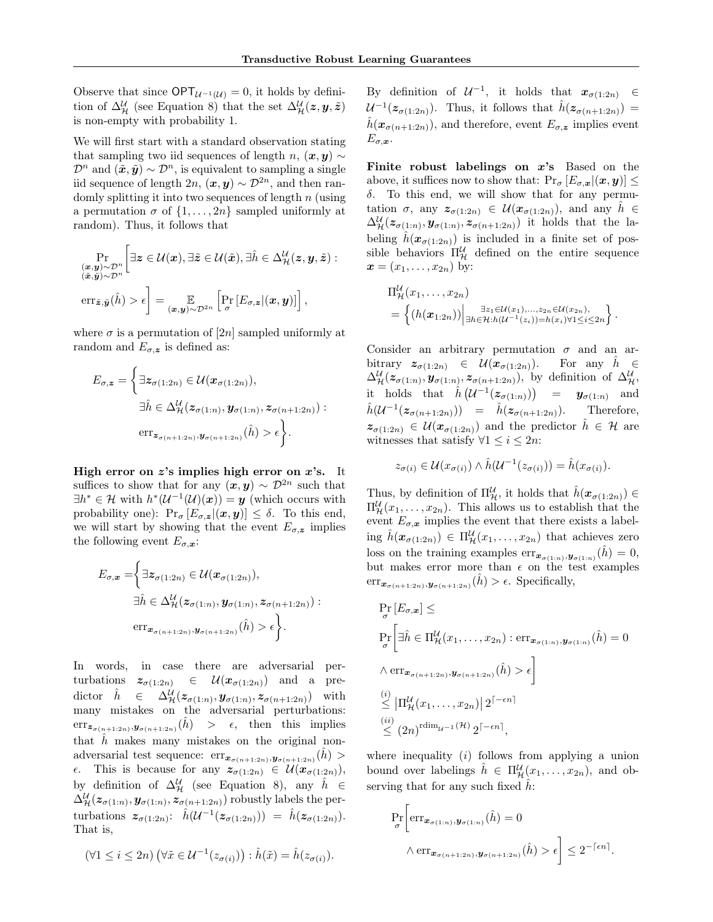Observe that since  $\mathsf{OPT}_{\mathcal{U}^{-1}(\mathcal{U})}=0$ , it holds by definition of  $\Delta_{\mathcal{H}}^{\mathcal{U}}$  (see Equation 8) that the set  $\Delta_{\mathcal{H}}^{\mathcal{U}}(z, y, \tilde{z})$ is non-empty with probability 1.

We will first start with a standard observation stating that sampling two iid sequences of length n,  $(\mathbf{x}, \mathbf{y}) \sim$  $\mathcal{D}^n$  and  $(\tilde{\boldsymbol{x}}, \tilde{\boldsymbol{y}}) \sim \mathcal{D}^n$ , is equivalent to sampling a single iid sequence of length  $2n$ ,  $(\mathbf{x}, \mathbf{y}) \sim \mathcal{D}^{2n}$ , and then randomly splitting it into two sequences of length  $n$  (using a permutation  $\sigma$  of  $\{1, \ldots, 2n\}$  sampled uniformly at random). Thus, it follows that

$$
\Pr_{\substack{(\mathbf{x}, \mathbf{y}) \sim \mathcal{D}^n \\ (\tilde{\mathbf{x}}, \tilde{\mathbf{y}}) \sim \mathcal{D}^n}} \Big[ \exists \mathbf{z} \in \mathcal{U}(\mathbf{x}), \exists \tilde{\mathbf{z}} \in \mathcal{U}(\tilde{\mathbf{x}}), \exists \hat{h} \in \Delta_{\mathcal{H}}^{\mathcal{U}}(\mathbf{z}, \mathbf{y}, \tilde{\mathbf{z}}) : \\ \exp(\tilde{\mathbf{z}}, \tilde{\mathbf{y}}) \sim \mathcal{D}^n} \exp \Big[ \mathbb{E}_{\mathbf{z}, \mathbf{y}} \Big[ \mathbb{E}_{\mathbf{z}, \mathbf{z}} \Big[ \mathbb{E}_{\mathbf{z}, \mathbf{z}} \Big[ \Big( \mathbf{x}, \mathbf{y} \Big) \Big] \Big],
$$

where  $\sigma$  is a permutation of [2n] sampled uniformly at random and  $E_{\sigma,z}$  is defined as:

$$
E_{\sigma, \mathbf{z}} = \left\{ \exists \mathbf{z}_{\sigma(1:2n)} \in \mathcal{U}(\mathbf{x}_{\sigma(1:2n)}), \n\exists \hat{h} \in \Delta_{\mathcal{H}}^{\mathcal{U}}(\mathbf{z}_{\sigma(1:n)}, \mathbf{y}_{\sigma(1:n)}, \mathbf{z}_{\sigma(n+1:2n)}) : \n\text{err}_{\mathbf{z}_{\sigma(n+1:2n)}, \mathbf{y}_{\sigma(n+1:2n)}}(\hat{h}) > \epsilon \right\}.
$$

High error on  $z$ 's implies high error on  $x$ 's. It suffices to show that for any  $(x, y) \sim \mathcal{D}^{2n}$  such that  $\exists h^* \in \mathcal{H}$  with  $h^*(\mathcal{U}^{-1}(\mathcal{U})(\boldsymbol{x})) = \boldsymbol{y}$  (which occurs with probability one):  $Pr_{\sigma}[E_{\sigma,z}|(\boldsymbol{x},\boldsymbol{y})] \leq \delta$ . To this end, we will start by showing that the event  $E_{\sigma,z}$  implies the following event  $E_{\sigma,\mathbf{x}}$ :

$$
E_{\sigma,\boldsymbol{x}} = \left\{ \exists z_{\sigma(1:2n)} \in \mathcal{U}(\boldsymbol{x}_{\sigma(1:2n)}), \n\exists \hat{h} \in \Delta_{\mathcal{H}}^{\mathcal{U}}(z_{\sigma(1:n)}, \boldsymbol{y}_{\sigma(1:n)}, z_{\sigma(n+1:2n)}) : \n\text{err}_{\boldsymbol{x}_{\sigma(n+1:2n)}, \boldsymbol{y}_{\sigma(n+1:2n)}}(\hat{h}) > \epsilon \right\}.
$$

In words, in case there are adversarial perturbations  $z_{\sigma(1:2n)} \in \mathcal{U}(x_{\sigma(1:2n)})$  and a pre $dictor$   $h$  $_{\mathcal{H}}^{\mathcal{U}}(z_{\sigma(1:n)},\bm{y}_{\sigma(1:n)},z_{\sigma(n+1:2n)})$  with many mistakes on the adversarial perturbations:  $\mathrm{err}_{\boldsymbol{z}_{\sigma(n+1:2n)},\boldsymbol{y}_{\sigma(n+1:2n)}}(\hat{h})$  >  $\epsilon$ , then this implies that  $\hat{h}$  makes many mistakes on the original nonadversarial test sequence:  $\mathrm{err}_{\boldsymbol{x}_{\sigma(n+1:2n)},\boldsymbol{y}_{\sigma(n+1:2n)}}(\hat{h})$  $\epsilon$ . This is because for any  $z_{\sigma(1:2n)} \in \mathcal{U}(x_{\sigma(1:2n)}),$ by definition of  $\Delta_{\mathcal{H}}^{\mathcal{U}}$  (see Equation 8), any  $\hat{h} \in$  $\Delta_{\mathcal{H}}^{\mathcal{U}}(z_{\sigma(1:n)}, \mathbf{y}_{\sigma(1:n)}, \dot{z}_{\sigma(n+1:2n)})$  robustly labels the perturbations  $z_{\sigma(1:2n)}$ :  $\hat{h}(\mathcal{U}^{-1}(z_{\sigma(1:2n)})) = \hat{h}(z_{\sigma(1:2n)})$ . That is,

$$
(\forall 1 \leq i \leq 2n) \left(\forall \tilde{x} \in \mathcal{U}^{-1}(z_{\sigma(i)})\right) : \hat{h}(\tilde{x}) = \hat{h}(z_{\sigma(i)}).
$$

By definition of  $\mathcal{U}^{-1}$ , it holds that  $\mathbf{x}_{\sigma(1:2n)} \in$  $\mathcal{U}^{-1}(\boldsymbol{z}_{\sigma(1:2n)})$ . Thus, it follows that  $\hat{h}(\boldsymbol{z}_{\sigma(n+1:2n)})=$  $\hat{h}(\boldsymbol{x}_{\sigma(n+1:2n)})$ , and therefore, event  $E_{\sigma,\boldsymbol{z}}$  implies event  $E_{\sigma,\boldsymbol{x}}$ .

Finite robust labelings on  $x$ 's Based on the above, it suffices now to show that:  $Pr_{\sigma} [E_{\sigma, x} | (\boldsymbol{x}, \boldsymbol{y})] \leq$ δ. To this end, we will show that for any permutation  $\sigma$ , any  $z_{\sigma(1:2n)} \in \mathcal{U}(x_{\sigma(1:2n)})$ , and any  $h \in$  $\Delta_{\mathcal{H}}^{\mathcal{U}}(z_{\sigma(1:n)},\mathbf{y}_{\sigma(1:n)},z_{\sigma(n+1:2n)})$  it holds that the labeling  $\hat{h}(\mathbf{x}_{\sigma(1:2n)})$  is included in a finite set of possible behaviors  $\Pi_{\mathcal{H}}^{\mathcal{U}}$  defined on the entire sequence  $\bm{x} = (x_1, \ldots, x_{2n})$  by:

$$
\Pi_{\mathcal{H}}^{\mathcal{U}}(x_1,\ldots,x_{2n}) = \left\{ (h(\boldsymbol{x}_{1:2n})) \Big|_{\exists h \in \mathcal{H}: h(\mathcal{U}^{-1}(z_i)) = h(x_i) \forall 1 \leq i \leq 2n} \right\}.
$$

Consider an arbitrary permutation  $\sigma$  and an arbitrary  $z_{\sigma(1:2n)} \in \mathcal{U}(x_{\sigma(1:2n)})$ . For any  $\hat{h} \in$  $\Delta_{\mathcal{H}}^{\mathcal{U}}(z_{\sigma(1:n)}, \mathbf{y}_{\sigma(1:n)}, z_{\sigma(n+1:2n)}),$  by definition of  $\Delta_{\mathcal{H}}^{\mathcal{U}},$ it holds that  $\hat{h} \left( \mathcal{U}^{-1}(\boldsymbol{z}_{\sigma(1:n)}) \right) = \boldsymbol{y}_{\sigma(1:n)}$  and  $\hat{h}(\mathcal{U}^{-1}(\boldsymbol{z}_{\sigma(n+1:2n)})) = \hat{h}(\boldsymbol{z}_{\sigma(n+1:2n)}).$  Therefore,  $z_{\sigma(1:2n)} \in \mathcal{U}(x_{\sigma(1:2n)})$  and the predictor  $\hat{h} \in \mathcal{H}$  are witnesses that satisfy  $\forall 1 \leq i \leq 2n$ :

$$
z_{\sigma(i)} \in \mathcal{U}(x_{\sigma(i)}) \wedge \hat{h}(\mathcal{U}^{-1}(z_{\sigma(i)})) = \hat{h}(x_{\sigma(i)}).
$$

Thus, by definition of  $\Pi_{\mathcal{H}}^{\mathcal{U}}$ , it holds that  $\hat{h}(\boldsymbol{x}_{\sigma(1:2n)}) \in$  $\Pi_{\mathcal{H}}^{\mathcal{U}}(x_1,\ldots,x_{2n}).$  This allows us to establish that the event  $E_{\sigma,x}$  implies the event that there exists a labeling  $\hat{h}(\boldsymbol{x}_{\sigma(1:2n)}) \in \Pi^{\mathcal{U}}_{\mathcal{H}}(x_1,\ldots,x_{2n})$  that achieves zero loss on the training examples  $err_{\boldsymbol{x}_{\sigma(1:n)},\boldsymbol{y}_{\sigma(1:n)}}(\hat{h}) = 0$ , but makes error more than  $\epsilon$  on the test examples  $\mathrm{err}_{\boldsymbol{x}_{\sigma(n+1:2n)},\boldsymbol{y}_{\sigma(n+1:2n)}}(\hat{h}) > \epsilon$ . Specifically,

$$
\Pr_{\sigma} [E_{\sigma, \mathbf{x}}] \le
$$
\n
$$
\Pr_{\sigma} \left[ \exists \hat{h} \in \Pi_{\mathcal{H}}^{\mathcal{U}}(x_1, \dots, x_{2n}) : \text{err}_{\mathbf{x}_{\sigma(1:n)}, \mathbf{y}_{\sigma(1:n)}}(\hat{h}) = 0 \right]
$$
\n
$$
\wedge \text{err}_{\mathbf{x}_{\sigma(n+1:2n)}, \mathbf{y}_{\sigma(n+1:2n)}}(\hat{h}) > \epsilon \right]
$$
\n(i) 
$$
\leq |\Pi_{\mathcal{H}}^{\mathcal{U}}(x_1, \dots, x_{2n})| 2^{[-\epsilon n]}
$$
\n(ii) 
$$
\leq (2n)^{\text{rdim}_{\mathcal{U}^{-1}}(\mathcal{H})} 2^{[-\epsilon n]},
$$

where inequality  $(i)$  follows from applying a union bound over labelings  $\hat{h} \in \Pi_{\mathcal{H}}^{\mathcal{U}}(x_1,\ldots,x_{2n})$ , and observing that for any such fixed  $\hat{h}$ :

$$
\Pr_{\sigma} \left[ \text{err}_{\mathbf{x}_{\sigma(1:n)}, \mathbf{y}_{\sigma(1:n)}}(\hat{h}) = 0
$$
  
  $\wedge \text{err}_{\mathbf{x}_{\sigma(n+1:2n)}, \mathbf{y}_{\sigma(n+1:2n)}}(\hat{h}) > \epsilon \right] \leq 2^{-\lceil \epsilon n \rceil}.$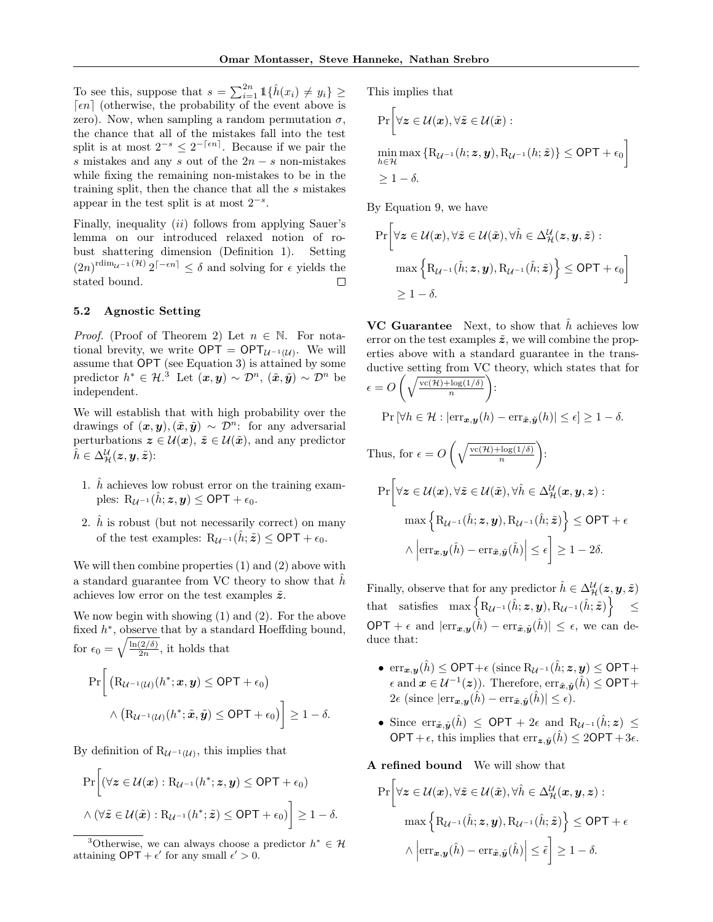To see this, suppose that  $s = \sum_{i=1}^{2n} 1\{\hat{h}(x_i) \neq y_i\} \geq$  $\lceil \epsilon n \rceil$  (otherwise, the probability of the event above is zero). Now, when sampling a random permutation  $\sigma$ , the chance that all of the mistakes fall into the test split is at most  $2^{-s} \leq 2^{-\lceil \epsilon n \rceil}$ . Because if we pair the s mistakes and any s out of the  $2n - s$  non-mistakes while fixing the remaining non-mistakes to be in the training split, then the chance that all the s mistakes appear in the test split is at most  $2^{-s}$ .

Finally, inequality (ii) follows from applying Sauer's lemma on our introduced relaxed notion of robust shattering dimension (Definition 1). Setting  $(2n)^{\text{rdim}_{\mathcal{U}^{-1}}(\mathcal{H})} 2^{[-\epsilon n]} \leq \delta$  and solving for  $\epsilon$  yields the stated bound.

#### 5.2 Agnostic Setting

*Proof.* (Proof of Theorem 2) Let  $n \in \mathbb{N}$ . For notational brevity, we write  $\mathsf{OPT} = \mathsf{OPT}_{\mathcal{U}^{-1}(\mathcal{U})}$ . We will assume that OPT (see Equation 3) is attained by some predictor  $h^* \in \mathcal{H}^3$  Let  $(\bm{x}, \bm{y}) \sim \mathcal{D}^n$ ,  $(\tilde{\bm{x}}, \tilde{\bm{y}}) \sim \mathcal{D}^n$  be independent.

We will establish that with high probability over the drawings of  $(x, y), (\tilde{x}, \tilde{y}) \sim \mathcal{D}^n$ : for any adversarial perturbations  $z \in \mathcal{U}(\mathbf{x}), \, \tilde{z} \in \mathcal{U}(\tilde{\mathbf{x}})$ , and any predictor  $\hat{h} \in \Delta^{\mathcal{U}}_{\mathcal{H}}(\boldsymbol{z},\boldsymbol{y},\tilde{\boldsymbol{z}})$ :

- 1.  $\hat{h}$  achieves low robust error on the training examples:  $R_{\mathcal{U}^{-1}}(\hat{h}; z, y) \le \text{OPT} + \epsilon_0$ .
- 2.  $\hat{h}$  is robust (but not necessarily correct) on many of the test examples:  $R_{\mathcal{U}^{-1}}(\hat{h}; \tilde{\mathbf{z}}) \le \text{OPT} + \epsilon_0$ .

We will then combine properties (1) and (2) above with a standard guarantee from VC theory to show that  $\hat{h}$ achieves low error on the test examples  $\tilde{z}$ .

We now begin with showing (1) and (2). For the above fixed  $h^*$ , observe that by a standard Hoeffding bound, for  $\epsilon_0 = \sqrt{\frac{\ln(2/\delta)}{2n}}$  $\frac{(2/0)}{2n}$ , it holds that  $\Pr\left[\right. \left(\mathrm{R}_{\mathcal{U}^{-1}(\mathcal{U})}(h^*;\bm{x},\bm{y})\leq \mathsf{OPT}+\epsilon_0\right)$  $\wedge \left( \mathrm{R}_{\mathcal{U}^{-1}(\mathcal{U})}(h^*; \tilde{\boldsymbol{x}}, \tilde{\boldsymbol{y}}) \leq \mathsf{OPT} + \epsilon_0) \right] \geq 1 - \delta.$ 

By definition of  $R_{\mathcal{U}^{-1}(\mathcal{U})}$ , this implies that

$$
\Pr\bigg[\left(\forall \boldsymbol{z} \in \mathcal{U}(\boldsymbol{x}) : \mathrm{R}_{\mathcal{U}^{-1}}(h^*; \boldsymbol{z}, \boldsymbol{y}) \le \mathsf{OPT} + \epsilon_0\right) \newline \land \left(\forall \tilde{\boldsymbol{z}} \in \mathcal{U}(\tilde{\boldsymbol{x}}) : \mathrm{R}_{\mathcal{U}^{-1}}(h^*; \tilde{\boldsymbol{z}}) \le \mathsf{OPT} + \epsilon_0\right)\bigg] \ge 1 - \delta.
$$

This implies that

$$
\Pr\left[\forall z \in \mathcal{U}(\boldsymbol{x}), \forall \tilde{z} \in \mathcal{U}(\tilde{\boldsymbol{x}}): \atop h \in \mathcal{H} \max \left\{ R_{\mathcal{U}^{-1}}(h; \boldsymbol{z}, \boldsymbol{y}), R_{\mathcal{U}^{-1}}(h; \tilde{\boldsymbol{z}}) \right\} \le \text{OPT} + \epsilon_0 \right] \ge 1 - \delta.
$$

By Equation 9, we have

$$
\Pr\bigg[\forall \mathbf{z} \in \mathcal{U}(\mathbf{x}), \forall \tilde{\mathbf{z}} \in \mathcal{U}(\tilde{\mathbf{x}}), \forall \hat{h} \in \Delta_{\mathcal{H}}^{\mathcal{U}}(\mathbf{z}, \mathbf{y}, \tilde{\mathbf{z}}):
$$

$$
\max\left\{\mathbf{R}_{\mathcal{U}^{-1}}(\hat{h}; \mathbf{z}, \mathbf{y}), \mathbf{R}_{\mathcal{U}^{-1}}(\hat{h}; \tilde{\mathbf{z}})\right\} \le \mathsf{OPT} + \epsilon_0\bigg]
$$

$$
\ge 1 - \delta.
$$

**VC Guarantee** Next, to show that  $\hat{h}$  achieves low error on the test examples  $\tilde{z}$ , we will combine the properties above with a standard guarantee in the transductive setting from VC theory, which states that for

$$
\epsilon = O\left(\sqrt{\frac{\text{vc}(\mathcal{H}) + \log(1/\delta)}{n}}\right):
$$
\n
$$
\Pr\left[\forall h \in \mathcal{H} : |\text{err}_{\mathbf{x}, \mathbf{y}}(h) - \text{err}_{\tilde{\mathbf{x}}, \tilde{\mathbf{y}}}(h)| \le \epsilon\right] \ge 1 - \delta.
$$
\nThus, for  $\epsilon = O\left(\sqrt{\frac{\text{vc}(\mathcal{H}) + \log(1/\delta)}{n}}\right):$ 

$$
\Pr\left[\forall z \in \mathcal{U}(\mathbf{x}), \forall \tilde{z} \in \mathcal{U}(\tilde{\mathbf{x}}), \forall \hat{h} \in \Delta_{\mathcal{H}}^{\mathcal{U}}(\mathbf{x}, \mathbf{y}, \mathbf{z}): \right]
$$
\n
$$
\max\left\{ R_{\mathcal{U}^{-1}}(\hat{h}; \mathbf{z}, \mathbf{y}), R_{\mathcal{U}^{-1}}(\hat{h}; \tilde{\mathbf{z}}) \right\} \le \text{OPT} + \epsilon
$$
\n
$$
\wedge \left| \text{err}_{\mathbf{x}, \mathbf{y}}(\hat{h}) - \text{err}_{\tilde{\mathbf{x}}, \tilde{\mathbf{y}}}(\hat{h}) \right| \le \epsilon \right] \ge 1 - 2\delta.
$$

Finally, observe that for any predictor  $\hat{h} \in \Delta^{\mathcal{U}}_{\mathcal{H}}(\boldsymbol{z},\boldsymbol{y},\tilde{\boldsymbol{z}})$  $\text{that}\quad \text{satisfies}\quad \max\left\{\texttt{R}_{\mathcal{U}^{-1}}(\hat{h};\boldsymbol{z},\boldsymbol{y}),\texttt{R}_{\mathcal{U}^{-1}}(\hat{h};\tilde{\boldsymbol{z}})\right\}\quad \leq \quad$ OPT +  $\epsilon$  and  $|\text{err}_{\tilde{x},\tilde{y}}(\hat{h}) - \text{err}_{\tilde{x},\tilde{y}}(\hat{h})| \leq \epsilon$ , we can deduce that:

- $\text{err}_{\boldsymbol{x},\boldsymbol{y}}(\hat{h}) \leq \text{OPT} + \epsilon \left( \text{since } R_{\mathcal{U}^{-1}}(\hat{h}; z, y) \leq \text{OPT} + \epsilon \right)$  $\epsilon$  and  $\boldsymbol{x} \in \mathcal{U}^{-1}(\boldsymbol{z})$ ). Therefore, err<sub> $\tilde{\boldsymbol{x}}, \tilde{\boldsymbol{y}}(\hat{h}) \leq \textsf{OPT} + \epsilon$ </sub>  $2\epsilon$  (since  $|\text{err}_{\tilde{\boldsymbol{x}},\tilde{\boldsymbol{y}}}(\hat{h}) - \text{err}_{\tilde{\boldsymbol{x}},\tilde{\boldsymbol{y}}}(\hat{h})| \leq \epsilon$ ).
- Since  $\text{err}_{\tilde{\boldsymbol{x}},\tilde{\boldsymbol{y}}}(\hat{h}) \le \text{OPT} + 2\epsilon$  and  $R_{\mathcal{U}^{-1}}(\hat{h};\boldsymbol{z}) \le$ OPT +  $\epsilon$ , this implies that  $\text{err}_{\boldsymbol{z},\tilde{\boldsymbol{n}}}(\hat{h}) \leq 2\text{OPT} + 3\epsilon$ .

A refined bound We will show that

$$
\Pr\left[\forall z \in \mathcal{U}(x), \forall \tilde{z} \in \mathcal{U}(\tilde{x}), \forall \hat{h} \in \Delta_{\mathcal{H}}^{\mathcal{U}}(x, y, z) : \max\left\{ \mathrm{R}_{\mathcal{U}^{-1}}(\hat{h}; z, y), \mathrm{R}_{\mathcal{U}^{-1}}(\hat{h}; \tilde{z}) \right\} \le \mathrm{OPT} + \epsilon
$$

$$
\wedge \left| \mathrm{err}_{x, y}(\hat{h}) - \mathrm{err}_{\tilde{x}, \tilde{y}}(\hat{h}) \right| \le \tilde{\epsilon} \right] \ge 1 - \delta.
$$

<sup>&</sup>lt;sup>3</sup>Otherwise, we can always choose a predictor  $h^* \in \mathcal{H}$ attaining  $\mathsf{OPT} + \epsilon'$  for any small  $\epsilon' > 0$ .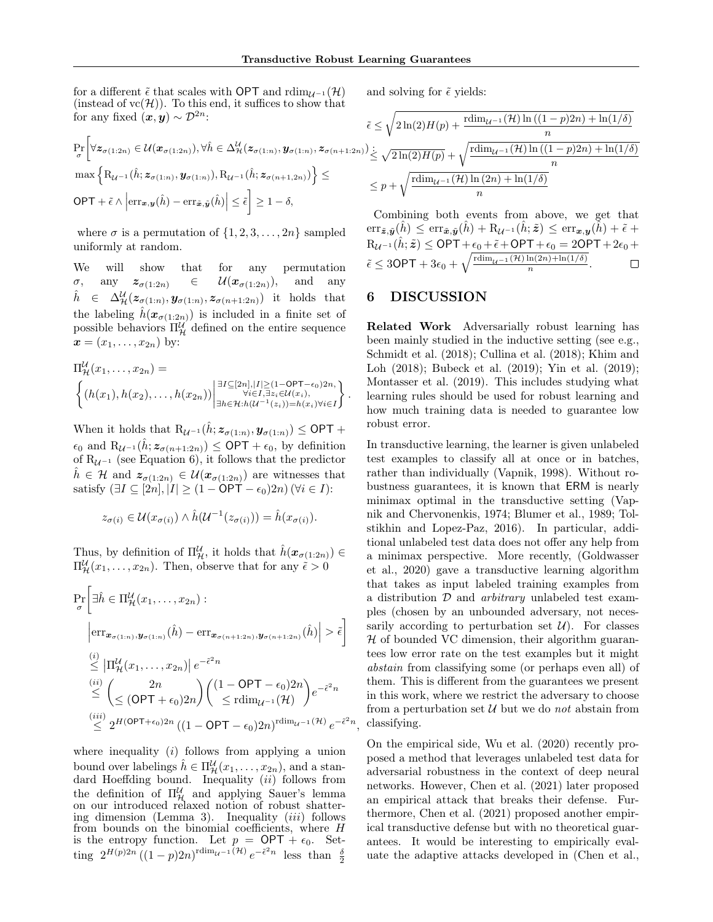,

for a different  $\tilde{\epsilon}$  that scales with OPT and rdim<sub> $U^{-1}(\mathcal{H})$ </sub> (instead of  $vc(\mathcal{H})$ ). To this end, it suffices to show that for any fixed  $(x, y) \sim \mathcal{D}^{2n}$ .

Pr σ

OPT +  $\tilde{\epsilon} \wedge$ 

and solving for  $\tilde{\epsilon}$  yields:

for any fixed 
$$
(x, y) \sim \mathcal{D}^{2n}
$$
:  
\n
$$
\tilde{\epsilon} \leq \sqrt{2\ln(2)H(p) + \frac{rdim_{\mathcal{U}^{-1}}(\mathcal{H})\ln((1-p)2n) + \ln(1/\delta)}{n}}
$$
\n
$$
\Pr\left[\forall z_{\sigma(1:2n)} \in \mathcal{U}(x_{\sigma(1:2n)}), \forall \hat{h} \in \Delta_{\mathcal{H}}^{\mathcal{U}}(z_{\sigma(1:n)}, y_{\sigma(1:n)}, z_{\sigma(n+1:2n)}) \leq \sqrt{2\ln(2)H(p)} + \sqrt{\frac{rdim_{\mathcal{U}^{-1}}(\mathcal{H})\ln((1-p)2n) + \ln(1/\delta)}{n}}
$$
\n
$$
\max \left\{ R_{\mathcal{U}^{-1}}(\hat{h}; z_{\sigma(1:n)}, y_{\sigma(1:n)}), R_{\mathcal{U}^{-1}}(\hat{h}; z_{\sigma(n+1:2n)}) \right\} \leq \frac{1}{p} + \sqrt{\frac{rdim_{\mathcal{U}^{-1}}(\mathcal{H})\ln(2n) + \ln(1/\delta)}{n}}
$$
\n
$$
\leq p + \sqrt{\frac{rdim_{\mathcal{U}^{-1}}(\mathcal{H})\ln(2n) + \ln(1/\delta)}{n}}
$$
\n
$$
\leq p + \sqrt{\frac{rdim_{\mathcal{U}^{-1}}(\mathcal{H})\ln(2n) + \ln(1/\delta)}{n}}
$$
\nCombinary both curves from above, we get that

where  $\sigma$  is a permutation of  $\{1, 2, 3, \ldots, 2n\}$  sampled uniformly at random.

We will show that for any permutation  $\sigma$ , any  $z_{\sigma(1:2n)} \in \mathcal{U}(x_{\sigma(1:2n)})$ , and any  $\hat{h} \in \Delta^{\mathcal{U}}_{\mathcal{H}}(z_{\sigma(1:n)}, \mathbf{y}_{\sigma(1:n)}, z_{\sigma(n+1:2n)})$  it holds that the labeling  $\hat{h}(\mathbf{x}_{\sigma(1:2n)})$  is included in a finite set of possible behaviors  $\Pi_{\mathcal{H}}^{\mathcal{U}}$  defined on the entire sequence  $x = (x_1, \ldots, x_{2n})$  by:

$$
\Pi_{\mathcal{H}}^{\mathcal{U}}(x_1,\ldots,x_{2n}) = \left\{ (h(x_1),h(x_2),\ldots,h(x_{2n})) \middle| \begin{aligned} &\exists I \subseteq [2n],|I| \geq (1-\text{OPT}-\epsilon_0)2n, \\ &\forall i \in I, \exists z_i \in \mathcal{U}(x_i), \\ &\exists h \in \mathcal{H}: h(\mathcal{U}^{-1}(z_i)) = h(x_i) \forall i \in I \end{aligned} \right\}.
$$

When it holds that  $R_{\mathcal{U}^{-1}}(\hat{h}; z_{\sigma(1:n)}, \mathbf{y}_{\sigma(1:n)}) \leq \mathsf{OPT} +$  $\epsilon_0$  and  $\mathrm{R}_{\mathcal{U}^{-1}}(h; \mathbf{z}_{\sigma(n+1:2n)}) \le \mathrm{OPT} + \epsilon_0$ , by definition of  $R_{\mathcal{U}^{-1}}$  (see Equation 6), it follows that the predictor  $h \in \mathcal{H}$  and  $z_{\sigma(1:2n)} \in \mathcal{U}(x_{\sigma(1:2n)})$  are witnesses that satisfy  $(\exists I \subseteq [2n], |I| \ge (1 - \mathsf{OPT} - \epsilon_0)2n)$  ( $\forall i \in I$ ):

$$
z_{\sigma(i)} \in \mathcal{U}(x_{\sigma(i)}) \wedge \hat{h}(\mathcal{U}^{-1}(z_{\sigma(i)})) = \hat{h}(x_{\sigma(i)}).
$$

Thus, by definition of  $\Pi_{\mathcal{H}}^{\mathcal{U}}$ , it holds that  $\hat{h}(\boldsymbol{x}_{\sigma(1:2n)}) \in$  $\Pi_{\mathcal{H}}^{\mathcal{U}}(x_1,\ldots,x_{2n})$ . Then, observe that for any  $\tilde{\epsilon} > 0$ 

$$
\Pr_{\sigma} \left[ \exists \hat{h} \in \Pi_{\mathcal{H}}^{\mathcal{U}}(x_1, \dots, x_{2n}) : \right. \n\left. \left| \text{err}_{\mathbf{x}_{\sigma(1:n)}, \mathbf{y}_{\sigma(1:n)}}(\hat{h}) - \text{err}_{\mathbf{x}_{\sigma(n+1:2n)}, \mathbf{y}_{\sigma(n+1:2n)}}(\hat{h}) \right| > \tilde{\epsilon} \right] \n\stackrel{(i)}{\leq} \left| \Pi_{\mathcal{H}}^{\mathcal{U}}(x_1, \dots, x_{2n}) \right| e^{-\tilde{\epsilon}^2 n} \n\stackrel{(ii)}{\leq} \left( \frac{2n}{\leq (\text{OPT} + \epsilon_0) 2n} \right) \left( \frac{(1 - \text{OPT} - \epsilon_0) 2n}{\leq \text{rdim}_{\mathcal{U}^{-1}}(\mathcal{H})} \right) e^{-\tilde{\epsilon}^2 n} \n\stackrel{(iii)}{\leq} 2^{H(\text{OPT} + \epsilon_0) 2n} \left( (1 - \text{OPT} - \epsilon_0) 2n \right)^{\text{rdim}_{\mathcal{U}^{-1}}(\mathcal{H})} e^{-\tilde{\epsilon}^2 n}
$$

where inequality  $(i)$  follows from applying a union bound over labelings  $\hat{h} \in \Pi_{\mathcal{H}}^{\mathcal{U}}(x_1, \ldots, x_{2n})$ , and a standard Hoeffding bound. Inequality  $(ii)$  follows from the definition of  $\Pi_{\mathcal{H}}^{\mathcal{U}}$  and applying Sauer's lemma on our introduced relaxed notion of robust shattering dimension (Lemma 3). Inequality  $(iii)$  follows from bounds on the binomial coefficients, where  $H$ is the entropy function. Let  $p = \text{OPT} + \epsilon_0$ . Setting  $2^{H(p)2n} ((1-p)2n)^{\text{rdim}_{\mathcal{U}^{-1}}(\mathcal{H})} e^{-\tilde{\epsilon}^2 n}$  less than  $\frac{\delta}{2}$ 

Combining both events from above, we get that  $\text{err}_{\tilde{\mathbf{z}},\tilde{\mathbf{y}}}(h) \leq \text{err}_{\tilde{\mathbf{z}},\tilde{\mathbf{y}}}(h) + R_{\mathcal{U}^{-1}}(h;\tilde{\mathbf{z}}) \leq \text{err}_{\mathbf{z},\mathbf{y}}(h) + \tilde{\epsilon} +$  $\text{R}_{\mathcal{U}^{-1}}(\hat{h};\tilde{\boldsymbol{z}}) \le \text{OPT} + \epsilon_0 + \tilde{\epsilon} + \text{OPT} + \epsilon_0 = 2\text{OPT} + 2\epsilon_0 + \epsilon_1$  $\tilde{\epsilon} \leq 3\textsf{OPT} + 3\epsilon_0 + \sqrt{\frac{\text{rdim}_{\mathcal{U}^{-1}}(\mathcal{H})\ln(2n) + \ln(1/\delta)}{n}}.$ 

# 6 DISCUSSION

Related Work Adversarially robust learning has been mainly studied in the inductive setting (see e.g., Schmidt et al. (2018); Cullina et al. (2018); Khim and Loh (2018); Bubeck et al. (2019); Yin et al. (2019); Montasser et al. (2019). This includes studying what learning rules should be used for robust learning and how much training data is needed to guarantee low robust error.

In transductive learning, the learner is given unlabeled test examples to classify all at once or in batches, rather than individually (Vapnik, 1998). Without robustness guarantees, it is known that ERM is nearly minimax optimal in the transductive setting (Vapnik and Chervonenkis, 1974; Blumer et al., 1989; Tolstikhin and Lopez-Paz, 2016). In particular, additional unlabeled test data does not offer any help from a minimax perspective. More recently, (Goldwasser et al., 2020) gave a transductive learning algorithm that takes as input labeled training examples from a distribution  $D$  and *arbitrary* unlabeled test examples (chosen by an unbounded adversary, not necessarily according to perturbation set  $\mathcal{U}$ ). For classes  $H$  of bounded VC dimension, their algorithm guarantees low error rate on the test examples but it might abstain from classifying some (or perhaps even all) of them. This is different from the guarantees we present in this work, where we restrict the adversary to choose from a perturbation set  $\mathcal U$  but we do not abstain from classifying.

On the empirical side, Wu et al. (2020) recently proposed a method that leverages unlabeled test data for adversarial robustness in the context of deep neural networks. However, Chen et al. (2021) later proposed an empirical attack that breaks their defense. Furthermore, Chen et al. (2021) proposed another empirical transductive defense but with no theoretical guarantees. It would be interesting to empirically evaluate the adaptive attacks developed in (Chen et al.,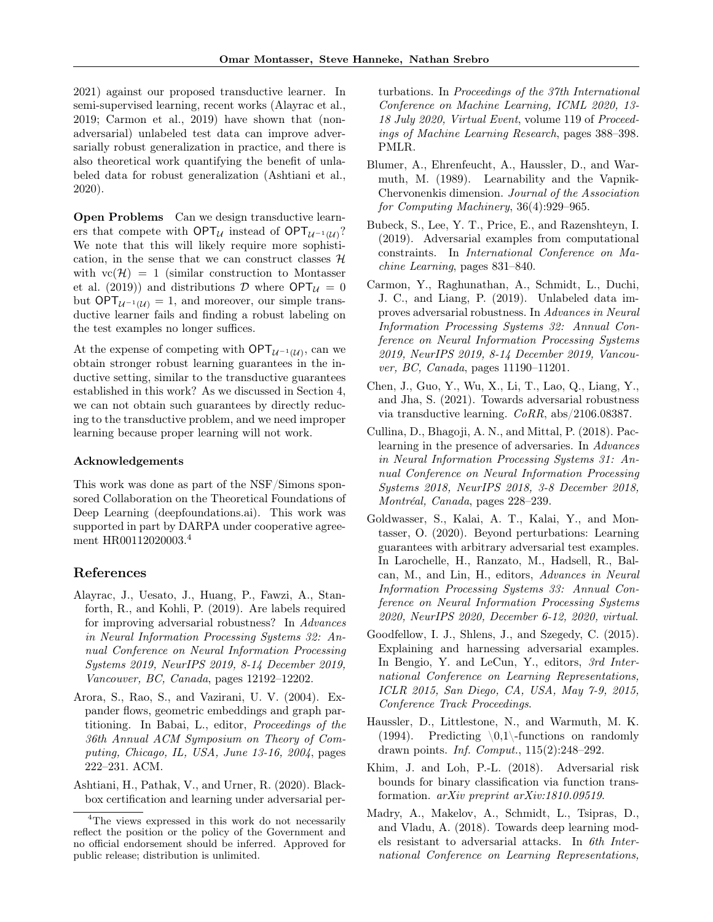2021) against our proposed transductive learner. In semi-supervised learning, recent works (Alayrac et al., 2019; Carmon et al., 2019) have shown that (nonadversarial) unlabeled test data can improve adversarially robust generalization in practice, and there is also theoretical work quantifying the benefit of unlabeled data for robust generalization (Ashtiani et al., 2020).

Open Problems Can we design transductive learners that compete with  $OPT_{\mathcal{U}}$  instead of  $OPT_{\mathcal{U}^{-1}(\mathcal{U})}$ ? We note that this will likely require more sophistication, in the sense that we can construct classes  $H$ with  $vc(\mathcal{H}) = 1$  (similar construction to Montasser et al. (2019)) and distributions  $D$  where  $OPT_{\mathcal{U}} = 0$ but  $OPT_{\mathcal{U}^{-1}(\mathcal{U})} = 1$ , and moreover, our simple transductive learner fails and finding a robust labeling on the test examples no longer suffices.

At the expense of competing with  $\mathsf{OPT}_{\mathcal{U}^{-1}(\mathcal{U})}$ , can we obtain stronger robust learning guarantees in the inductive setting, similar to the transductive guarantees established in this work? As we discussed in Section 4, we can not obtain such guarantees by directly reducing to the transductive problem, and we need improper learning because proper learning will not work.

#### Acknowledgements

This work was done as part of the NSF/Simons sponsored Collaboration on the Theoretical Foundations of Deep Learning (deepfoundations.ai). This work was supported in part by DARPA under cooperative agreement HR00112020003.<sup>4</sup>

### References

- Alayrac, J., Uesato, J., Huang, P., Fawzi, A., Stanforth, R., and Kohli, P. (2019). Are labels required for improving adversarial robustness? In Advances in Neural Information Processing Systems 32: Annual Conference on Neural Information Processing Systems 2019, NeurIPS 2019, 8-14 December 2019, Vancouver, BC, Canada, pages 12192–12202.
- Arora, S., Rao, S., and Vazirani, U. V. (2004). Expander flows, geometric embeddings and graph partitioning. In Babai, L., editor, Proceedings of the 36th Annual ACM Symposium on Theory of Computing, Chicago, IL, USA, June 13-16, 2004, pages 222–231. ACM.
- Ashtiani, H., Pathak, V., and Urner, R. (2020). Blackbox certification and learning under adversarial per-

turbations. In Proceedings of the 37th International Conference on Machine Learning, ICML 2020, 13- 18 July 2020, Virtual Event, volume 119 of Proceedings of Machine Learning Research, pages 388–398. PMLR.

- Blumer, A., Ehrenfeucht, A., Haussler, D., and Warmuth, M. (1989). Learnability and the Vapnik-Chervonenkis dimension. Journal of the Association for Computing Machinery, 36(4):929–965.
- Bubeck, S., Lee, Y. T., Price, E., and Razenshteyn, I. (2019). Adversarial examples from computational constraints. In International Conference on Machine Learning, pages 831–840.
- Carmon, Y., Raghunathan, A., Schmidt, L., Duchi, J. C., and Liang, P. (2019). Unlabeled data improves adversarial robustness. In Advances in Neural Information Processing Systems 32: Annual Conference on Neural Information Processing Systems 2019, NeurIPS 2019, 8-14 December 2019, Vancouver, BC, Canada, pages 11190–11201.
- Chen, J., Guo, Y., Wu, X., Li, T., Lao, Q., Liang, Y., and Jha, S. (2021). Towards adversarial robustness via transductive learning. CoRR, abs/2106.08387.
- Cullina, D., Bhagoji, A. N., and Mittal, P. (2018). Paclearning in the presence of adversaries. In Advances in Neural Information Processing Systems 31: Annual Conference on Neural Information Processing Systems 2018, NeurIPS 2018, 3-8 December 2018, Montréal, Canada, pages 228–239.
- Goldwasser, S., Kalai, A. T., Kalai, Y., and Montasser, O. (2020). Beyond perturbations: Learning guarantees with arbitrary adversarial test examples. In Larochelle, H., Ranzato, M., Hadsell, R., Balcan, M., and Lin, H., editors, Advances in Neural Information Processing Systems 33: Annual Conference on Neural Information Processing Systems 2020, NeurIPS 2020, December 6-12, 2020, virtual.
- Goodfellow, I. J., Shlens, J., and Szegedy, C. (2015). Explaining and harnessing adversarial examples. In Bengio, Y. and LeCun, Y., editors, 3rd International Conference on Learning Representations, ICLR 2015, San Diego, CA, USA, May 7-9, 2015, Conference Track Proceedings.
- Haussler, D., Littlestone, N., and Warmuth, M. K. (1994). Predicting  $\{0,1\}$ -functions on randomly drawn points. Inf. Comput., 115(2):248–292.
- Khim, J. and Loh, P.-L. (2018). Adversarial risk bounds for binary classification via function transformation. arXiv preprint arXiv:1810.09519.
- Madry, A., Makelov, A., Schmidt, L., Tsipras, D., and Vladu, A. (2018). Towards deep learning models resistant to adversarial attacks. In 6th International Conference on Learning Representations,

<sup>&</sup>lt;sup>4</sup>The views expressed in this work do not necessarily reflect the position or the policy of the Government and no official endorsement should be inferred. Approved for public release; distribution is unlimited.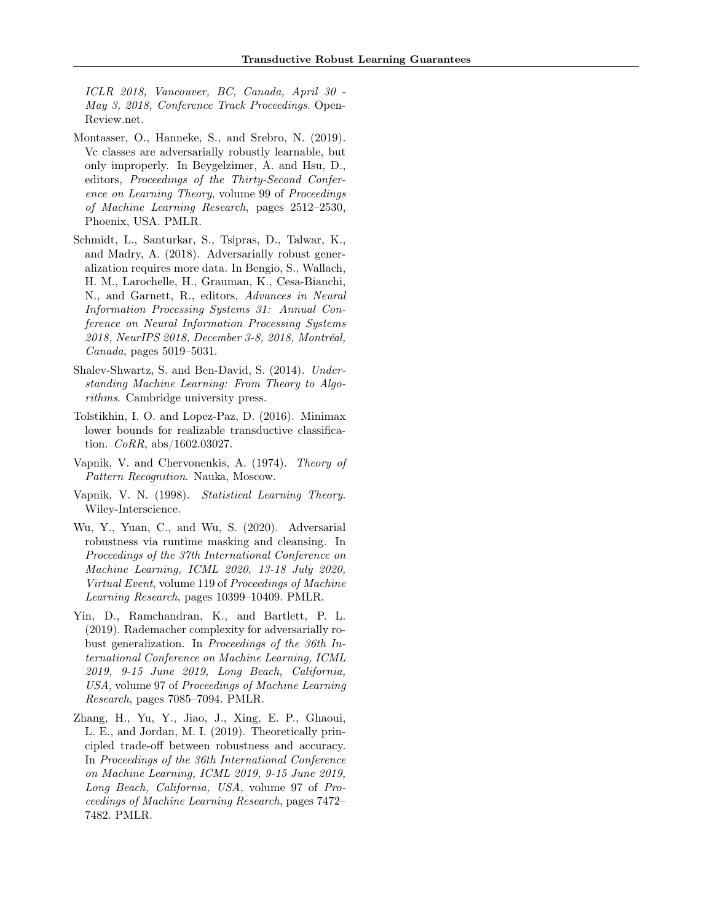ICLR 2018, Vancouver, BC, Canada, April 30 - May 3, 2018, Conference Track Proceedings. Open-Review.net.

- Montasser, O., Hanneke, S., and Srebro, N. (2019). Vc classes are adversarially robustly learnable, but only improperly. In Beygelzimer, A. and Hsu, D., editors, Proceedings of the Thirty-Second Conference on Learning Theory, volume 99 of Proceedings of Machine Learning Research, pages 2512–2530, Phoenix, USA. PMLR.
- Schmidt, L., Santurkar, S., Tsipras, D., Talwar, K., and Madry, A. (2018). Adversarially robust generalization requires more data. In Bengio, S., Wallach, H. M., Larochelle, H., Grauman, K., Cesa-Bianchi, N., and Garnett, R., editors, Advances in Neural Information Processing Systems 31: Annual Conference on Neural Information Processing Systems 2018, NeurIPS 2018, December 3-8, 2018, Montréal, Canada, pages 5019–5031.
- Shalev-Shwartz, S. and Ben-David, S. (2014). Understanding Machine Learning: From Theory to Algorithms. Cambridge university press.
- Tolstikhin, I. O. and Lopez-Paz, D. (2016). Minimax lower bounds for realizable transductive classification. CoRR, abs/1602.03027.
- Vapnik, V. and Chervonenkis, A. (1974). Theory of Pattern Recognition. Nauka, Moscow.
- Vapnik, V. N. (1998). Statistical Learning Theory. Wiley-Interscience.
- Wu, Y., Yuan, C., and Wu, S. (2020). Adversarial robustness via runtime masking and cleansing. In Proceedings of the 37th International Conference on Machine Learning, ICML 2020, 13-18 July 2020, Virtual Event, volume 119 of Proceedings of Machine Learning Research, pages 10399–10409. PMLR.
- Yin, D., Ramchandran, K., and Bartlett, P. L. (2019). Rademacher complexity for adversarially robust generalization. In Proceedings of the 36th International Conference on Machine Learning, ICML 2019, 9-15 June 2019, Long Beach, California, USA, volume 97 of Proceedings of Machine Learning Research, pages 7085–7094. PMLR.
- Zhang, H., Yu, Y., Jiao, J., Xing, E. P., Ghaoui, L. E., and Jordan, M. I. (2019). Theoretically principled trade-off between robustness and accuracy. In Proceedings of the 36th International Conference on Machine Learning, ICML 2019, 9-15 June 2019, Long Beach, California, USA, volume 97 of Proceedings of Machine Learning Research, pages 7472– 7482. PMLR.